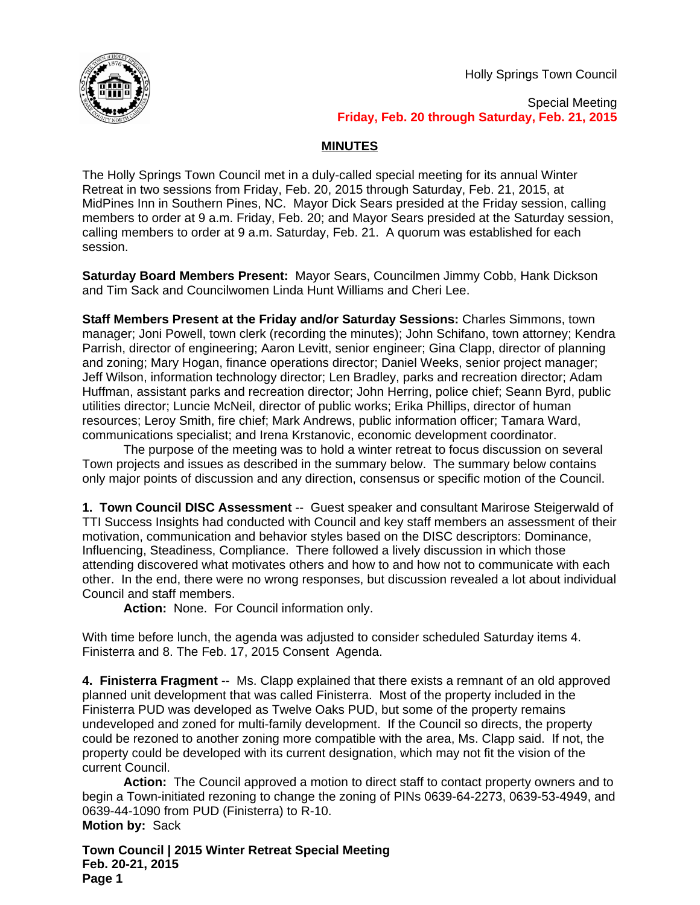Holly Springs Town Council



Special Meeting **Friday, Feb. 20 through Saturday, Feb. 21, 2015**

# **MINUTES**

The Holly Springs Town Council met in a duly-called special meeting for its annual Winter Retreat in two sessions from Friday, Feb. 20, 2015 through Saturday, Feb. 21, 2015, at MidPines Inn in Southern Pines, NC. Mayor Dick Sears presided at the Friday session, calling members to order at 9 a.m. Friday, Feb. 20; and Mayor Sears presided at the Saturday session, calling members to order at 9 a.m. Saturday, Feb. 21. A quorum was established for each session.

**Saturday Board Members Present:** Mayor Sears, Councilmen Jimmy Cobb, Hank Dickson and Tim Sack and Councilwomen Linda Hunt Williams and Cheri Lee.

**Staff Members Present at the Friday and/or Saturday Sessions:** Charles Simmons, town manager; Joni Powell, town clerk (recording the minutes); John Schifano, town attorney; Kendra Parrish, director of engineering; Aaron Levitt, senior engineer; Gina Clapp, director of planning and zoning; Mary Hogan, finance operations director; Daniel Weeks, senior project manager; Jeff Wilson, information technology director; Len Bradley, parks and recreation director; Adam Huffman, assistant parks and recreation director; John Herring, police chief; Seann Byrd, public utilities director; Luncie McNeil, director of public works; Erika Phillips, director of human resources; Leroy Smith, fire chief; Mark Andrews, public information officer; Tamara Ward, communications specialist; and Irena Krstanovic, economic development coordinator.

The purpose of the meeting was to hold a winter retreat to focus discussion on several Town projects and issues as described in the summary below. The summary below contains only major points of discussion and any direction, consensus or specific motion of the Council.

**1. Town Council DISC Assessment** -- Guest speaker and consultant Marirose Steigerwald of TTI Success Insights had conducted with Council and key staff members an assessment of their motivation, communication and behavior styles based on the DISC descriptors: Dominance, Influencing, Steadiness, Compliance. There followed a lively discussion in which those attending discovered what motivates others and how to and how not to communicate with each other. In the end, there were no wrong responses, but discussion revealed a lot about individual Council and staff members.

**Action:** None. For Council information only.

With time before lunch, the agenda was adjusted to consider scheduled Saturday items 4. Finisterra and 8. The Feb. 17, 2015 Consent Agenda.

**4. Finisterra Fragment** -- Ms. Clapp explained that there exists a remnant of an old approved planned unit development that was called Finisterra. Most of the property included in the Finisterra PUD was developed as Twelve Oaks PUD, but some of the property remains undeveloped and zoned for multi-family development. If the Council so directs, the property could be rezoned to another zoning more compatible with the area, Ms. Clapp said. If not, the property could be developed with its current designation, which may not fit the vision of the current Council.

**Action:** The Council approved a motion to direct staff to contact property owners and to begin a Town-initiated rezoning to change the zoning of PINs 0639-64-2273, 0639-53-4949, and 0639-44-1090 from PUD (Finisterra) to R-10. **Motion by:** Sack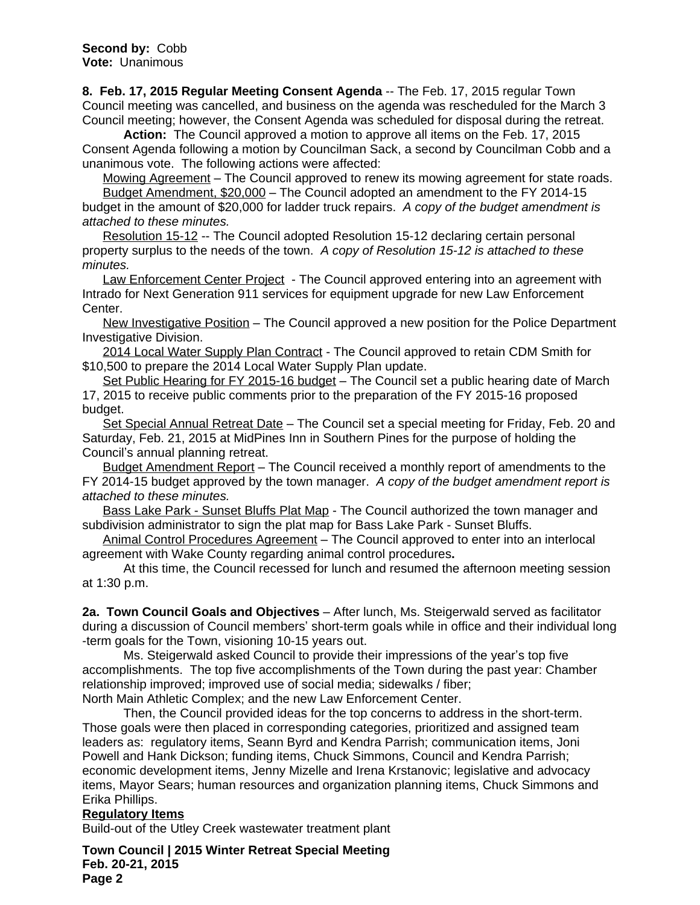**8. Feb. 17, 2015 Regular Meeting Consent Agenda** -- The Feb. 17, 2015 regular Town Council meeting was cancelled, and business on the agenda was rescheduled for the March 3 Council meeting; however, the Consent Agenda was scheduled for disposal during the retreat.

**Action:** The Council approved a motion to approve all items on the Feb. 17, 2015 Consent Agenda following a motion by Councilman Sack, a second by Councilman Cobb and a unanimous vote. The following actions were affected:

Mowing Agreement - The Council approved to renew its mowing agreement for state roads.

Budget Amendment, \$20,000 – The Council adopted an amendment to the FY 2014-15 budget in the amount of \$20,000 for ladder truck repairs. *A copy of the budget amendment is attached to these minutes.*

Resolution 15-12 -- The Council adopted Resolution 15-12 declaring certain personal property surplus to the needs of the town. *A copy of Resolution 15-12 is attached to these minutes.*

Law Enforcement Center Project - The Council approved entering into an agreement with Intrado for Next Generation 911 services for equipment upgrade for new Law Enforcement Center.

New Investigative Position – The Council approved a new position for the Police Department Investigative Division.

2014 Local Water Supply Plan Contract - The Council approved to retain CDM Smith for \$10,500 to prepare the 2014 Local Water Supply Plan update.

Set Public Hearing for FY 2015-16 budget - The Council set a public hearing date of March 17, 2015 to receive public comments prior to the preparation of the FY 2015-16 proposed budget.

Set Special Annual Retreat Date – The Council set a special meeting for Friday, Feb. 20 and Saturday, Feb. 21, 2015 at MidPines Inn in Southern Pines for the purpose of holding the Council's annual planning retreat.

Budget Amendment Report – The Council received a monthly report of amendments to the FY 2014-15 budget approved by the town manager. *A copy of the budget amendment report is attached to these minutes.*

Bass Lake Park - Sunset Bluffs Plat Map - The Council authorized the town manager and subdivision administrator to sign the plat map for Bass Lake Park - Sunset Bluffs.

Animal Control Procedures Agreement – The Council approved to enter into an interlocal agreement with Wake County regarding animal control procedures**.**

At this time, the Council recessed for lunch and resumed the afternoon meeting session at 1:30 p.m.

**2a. Town Council Goals and Objectives** – After lunch, Ms. Steigerwald served as facilitator during a discussion of Council members' short-term goals while in office and their individual long -term goals for the Town, visioning 10-15 years out.

Ms. Steigerwald asked Council to provide their impressions of the year's top five accomplishments. The top five accomplishments of the Town during the past year: Chamber relationship improved; improved use of social media; sidewalks / fiber;

North Main Athletic Complex; and the new Law Enforcement Center.

Then, the Council provided ideas for the top concerns to address in the short-term. Those goals were then placed in corresponding categories, prioritized and assigned team leaders as: regulatory items, Seann Byrd and Kendra Parrish; communication items, Joni Powell and Hank Dickson; funding items, Chuck Simmons, Council and Kendra Parrish; economic development items, Jenny Mizelle and Irena Krstanovic; legislative and advocacy items, Mayor Sears; human resources and organization planning items, Chuck Simmons and Erika Phillips.

#### **Regulatory Items**

Build-out of the Utley Creek wastewater treatment plant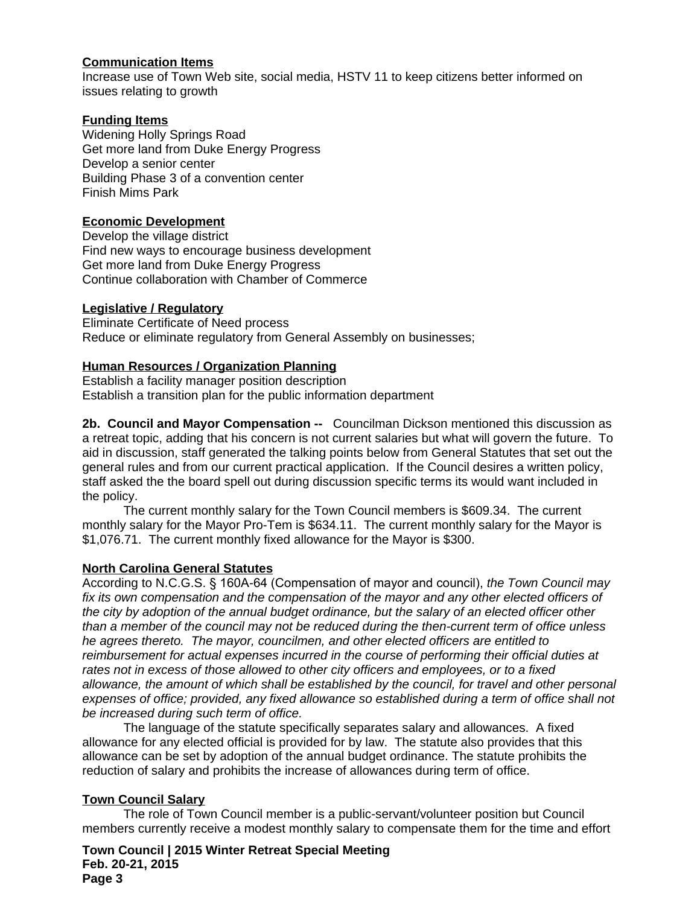# **Communication Items**

Increase use of Town Web site, social media, HSTV 11 to keep citizens better informed on issues relating to growth

## **Funding Items**

Widening Holly Springs Road Get more land from Duke Energy Progress Develop a senior center Building Phase 3 of a convention center Finish Mims Park

# **Economic Development**

Develop the village district Find new ways to encourage business development Get more land from Duke Energy Progress Continue collaboration with Chamber of Commerce

#### **Legislative / Regulatory**

Eliminate Certificate of Need process Reduce or eliminate regulatory from General Assembly on businesses;

#### **Human Resources / Organization Planning**

Establish a facility manager position description Establish a transition plan for the public information department

**2b. Council and Mayor Compensation --** Councilman Dickson mentioned this discussion as a retreat topic, adding that his concern is not current salaries but what will govern the future. To aid in discussion, staff generated the talking points below from General Statutes that set out the general rules and from our current practical application. If the Council desires a written policy, staff asked the the board spell out during discussion specific terms its would want included in the policy.

The current monthly salary for the Town Council members is \$609.34. The current monthly salary for the Mayor Pro-Tem is \$634.11. The current monthly salary for the Mayor is \$1,076.71. The current monthly fixed allowance for the Mayor is \$300.

#### **North Carolina General Statutes**

According to N.C.G.S. § 160A-64 (Compensation of mayor and council), *the Town Council may fix its own compensation and the compensation of the mayor and any other elected officers of the city by adoption of the annual budget ordinance, but the salary of an elected officer other than a member of the council may not be reduced during the then-current term of office unless he agrees thereto. The mayor, councilmen, and other elected officers are entitled to reimbursement for actual expenses incurred in the course of performing their official duties at rates not in excess of those allowed to other city officers and employees, or to a fixed allowance, the amount of which shall be established by the council, for travel and other personal expenses of office; provided, any fixed allowance so established during a term of office shall not be increased during such term of office.*

The language of the statute specifically separates salary and allowances. A fixed allowance for any elected official is provided for by law. The statute also provides that this allowance can be set by adoption of the annual budget ordinance. The statute prohibits the reduction of salary and prohibits the increase of allowances during term of office.

# **Town Council Salary**

The role of Town Council member is a public-servant/volunteer position but Council members currently receive a modest monthly salary to compensate them for the time and effort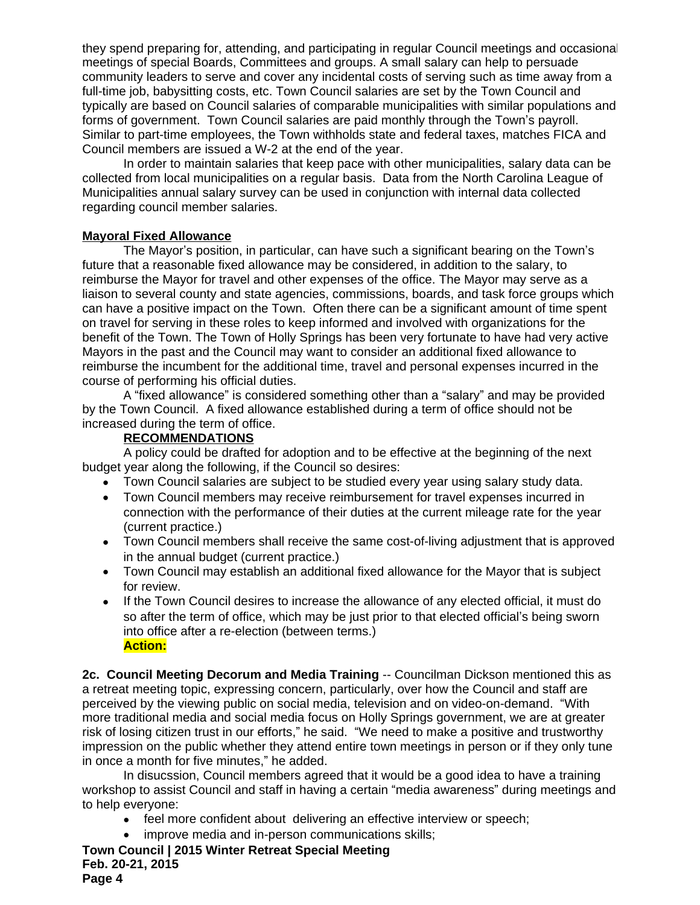they spend preparing for, attending, and participating in regular Council meetings and occasional meetings of special Boards, Committees and groups. A small salary can help to persuade community leaders to serve and cover any incidental costs of serving such as time away from a full-time job, babysitting costs, etc. Town Council salaries are set by the Town Council and typically are based on Council salaries of comparable municipalities with similar populations and forms of government. Town Council salaries are paid monthly through the Town's payroll. Similar to part-time employees, the Town withholds state and federal taxes, matches FICA and Council members are issued a W-2 at the end of the year.

In order to maintain salaries that keep pace with other municipalities, salary data can be collected from local municipalities on a regular basis. Data from the North Carolina League of Municipalities annual salary survey can be used in conjunction with internal data collected regarding council member salaries.

# **Mayoral Fixed Allowance**

The Mayor's position, in particular, can have such a significant bearing on the Town's future that a reasonable fixed allowance may be considered, in addition to the salary, to reimburse the Mayor for travel and other expenses of the office. The Mayor may serve as a liaison to several county and state agencies, commissions, boards, and task force groups which can have a positive impact on the Town. Often there can be a significant amount of time spent on travel for serving in these roles to keep informed and involved with organizations for the benefit of the Town. The Town of Holly Springs has been very fortunate to have had very active Mayors in the past and the Council may want to consider an additional fixed allowance to reimburse the incumbent for the additional time, travel and personal expenses incurred in the course of performing his official duties.

A "fixed allowance" is considered something other than a "salary" and may be provided by the Town Council. A fixed allowance established during a term of office should not be increased during the term of office.

# **RECOMMENDATIONS**

A policy could be drafted for adoption and to be effective at the beginning of the next budget year along the following, if the Council so desires:

- Town Council salaries are subject to be studied every year using salary study data.
- Town Council members may receive reimbursement for travel expenses incurred in connection with the performance of their duties at the current mileage rate for the year (current practice.)
- Town Council members shall receive the same cost-of-living adjustment that is approved in the annual budget (current practice.)
- Town Council may establish an additional fixed allowance for the Mayor that is subject for review.
- If the Town Council desires to increase the allowance of any elected official, it must do so after the term of office, which may be just prior to that elected official's being sworn into office after a re-election (between terms.) **Action:**

**2c. Council Meeting Decorum and Media Training** -- Councilman Dickson mentioned this as a retreat meeting topic, expressing concern, particularly, over how the Council and staff are perceived by the viewing public on social media, television and on video-on-demand. "With more traditional media and social media focus on Holly Springs government, we are at greater risk of losing citizen trust in our efforts," he said. "We need to make a positive and trustworthy impression on the public whether they attend entire town meetings in person or if they only tune in once a month for five minutes," he added.

In disucssion, Council members agreed that it would be a good idea to have a training workshop to assist Council and staff in having a certain "media awareness" during meetings and to help everyone:

- feel more confident about delivering an effective interview or speech;
- improve media and in-person communications skills;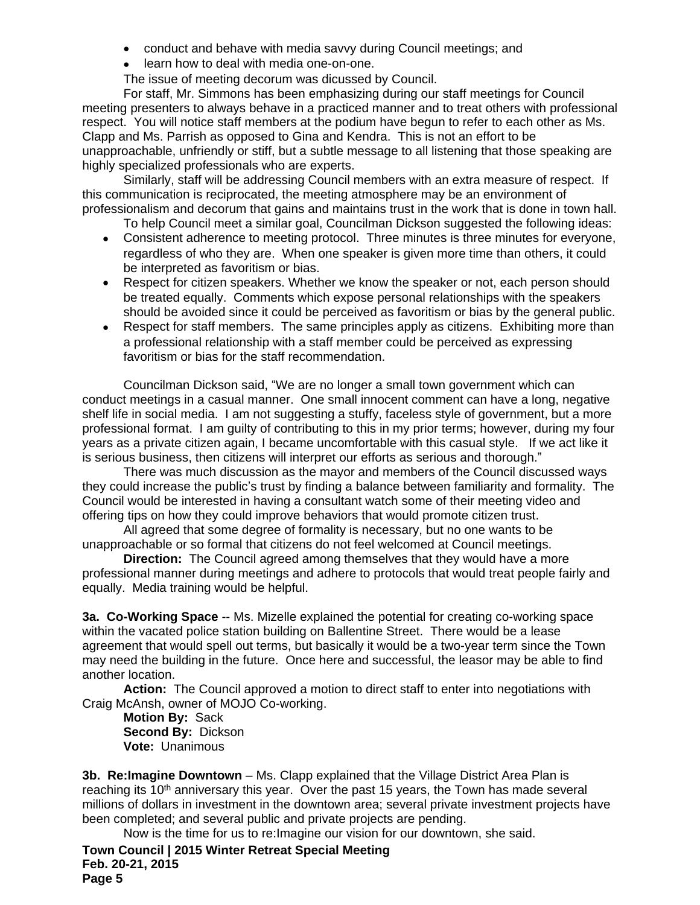- conduct and behave with media savvy during Council meetings; and
- learn how to deal with media one-on-one.

The issue of meeting decorum was dicussed by Council.

For staff, Mr. Simmons has been emphasizing during our staff meetings for Council meeting presenters to always behave in a practiced manner and to treat others with professional respect. You will notice staff members at the podium have begun to refer to each other as Ms. Clapp and Ms. Parrish as opposed to Gina and Kendra. This is not an effort to be unapproachable, unfriendly or stiff, but a subtle message to all listening that those speaking are highly specialized professionals who are experts.

Similarly, staff will be addressing Council members with an extra measure of respect. If this communication is reciprocated, the meeting atmosphere may be an environment of professionalism and decorum that gains and maintains trust in the work that is done in town hall.

To help Council meet a similar goal, Councilman Dickson suggested the following ideas:

- Consistent adherence to meeting protocol. Three minutes is three minutes for everyone, regardless of who they are. When one speaker is given more time than others, it could be interpreted as favoritism or bias.
- Respect for citizen speakers. Whether we know the speaker or not, each person should be treated equally. Comments which expose personal relationships with the speakers should be avoided since it could be perceived as favoritism or bias by the general public.
- Respect for staff members. The same principles apply as citizens. Exhibiting more than a professional relationship with a staff member could be perceived as expressing favoritism or bias for the staff recommendation.

Councilman Dickson said, "We are no longer a small town government which can conduct meetings in a casual manner. One small innocent comment can have a long, negative shelf life in social media. I am not suggesting a stuffy, faceless style of government, but a more professional format. I am guilty of contributing to this in my prior terms; however, during my four years as a private citizen again, I became uncomfortable with this casual style. If we act like it is serious business, then citizens will interpret our efforts as serious and thorough."

There was much discussion as the mayor and members of the Council discussed ways they could increase the public's trust by finding a balance between familiarity and formality. The Council would be interested in having a consultant watch some of their meeting video and offering tips on how they could improve behaviors that would promote citizen trust.

All agreed that some degree of formality is necessary, but no one wants to be unapproachable or so formal that citizens do not feel welcomed at Council meetings.

**Direction:** The Council agreed among themselves that they would have a more professional manner during meetings and adhere to protocols that would treat people fairly and equally. Media training would be helpful.

**3a. Co-Working Space** -- Ms. Mizelle explained the potential for creating co-working space within the vacated police station building on Ballentine Street. There would be a lease agreement that would spell out terms, but basically it would be a two-year term since the Town may need the building in the future. Once here and successful, the leasor may be able to find another location.

**Action:** The Council approved a motion to direct staff to enter into negotiations with Craig McAnsh, owner of MOJO Co-working.

**Motion By:** Sack **Second By:** Dickson **Vote:** Unanimous

**3b. Re:Imagine Downtown** – Ms. Clapp explained that the Village District Area Plan is reaching its 10<sup>th</sup> anniversary this year. Over the past 15 years, the Town has made several millions of dollars in investment in the downtown area; several private investment projects have been completed; and several public and private projects are pending.

Now is the time for us to re:Imagine our vision for our downtown, she said.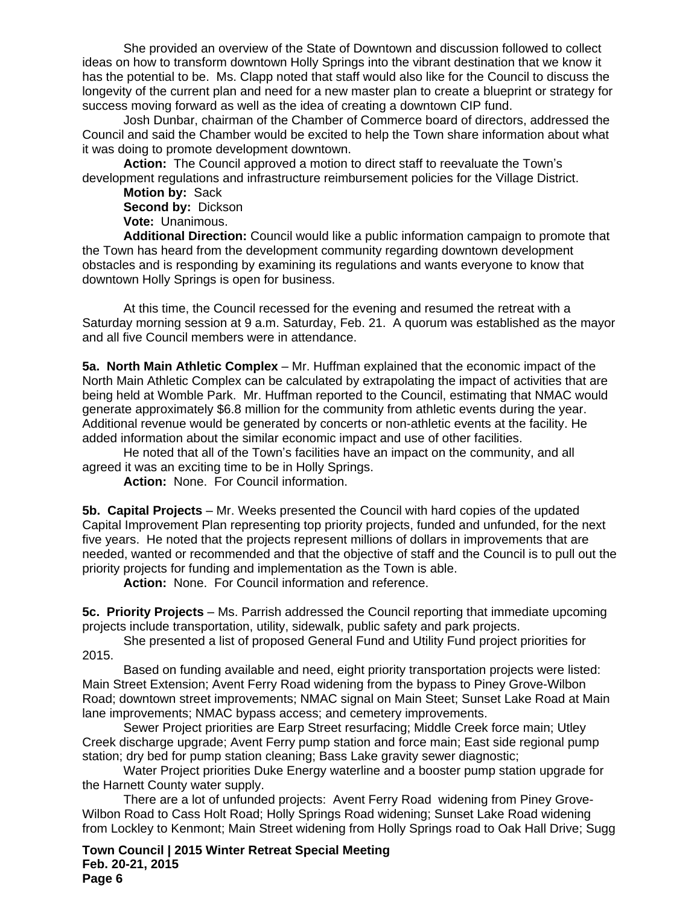She provided an overview of the State of Downtown and discussion followed to collect ideas on how to transform downtown Holly Springs into the vibrant destination that we know it has the potential to be. Ms. Clapp noted that staff would also like for the Council to discuss the longevity of the current plan and need for a new master plan to create a blueprint or strategy for success moving forward as well as the idea of creating a downtown CIP fund.

Josh Dunbar, chairman of the Chamber of Commerce board of directors, addressed the Council and said the Chamber would be excited to help the Town share information about what it was doing to promote development downtown.

**Action:** The Council approved a motion to direct staff to reevaluate the Town's development regulations and infrastructure reimbursement policies for the Village District.

**Motion by:** Sack **Second by:** Dickson **Vote:** Unanimous.

**Additional Direction:** Council would like a public information campaign to promote that the Town has heard from the development community regarding downtown development obstacles and is responding by examining its regulations and wants everyone to know that downtown Holly Springs is open for business.

At this time, the Council recessed for the evening and resumed the retreat with a Saturday morning session at 9 a.m. Saturday, Feb. 21. A quorum was established as the mayor and all five Council members were in attendance.

**5a. North Main Athletic Complex** – Mr. Huffman explained that the economic impact of the North Main Athletic Complex can be calculated by extrapolating the impact of activities that are being held at Womble Park. Mr. Huffman reported to the Council, estimating that NMAC would generate approximately \$6.8 million for the community from athletic events during the year. Additional revenue would be generated by concerts or non-athletic events at the facility. He added information about the similar economic impact and use of other facilities.

He noted that all of the Town's facilities have an impact on the community, and all agreed it was an exciting time to be in Holly Springs.

**Action:** None. For Council information.

**5b. Capital Projects** – Mr. Weeks presented the Council with hard copies of the updated Capital Improvement Plan representing top priority projects, funded and unfunded, for the next five years. He noted that the projects represent millions of dollars in improvements that are needed, wanted or recommended and that the objective of staff and the Council is to pull out the priority projects for funding and implementation as the Town is able.

**Action:** None. For Council information and reference.

**5c. Priority Projects** – Ms. Parrish addressed the Council reporting that immediate upcoming projects include transportation, utility, sidewalk, public safety and park projects.

She presented a list of proposed General Fund and Utility Fund project priorities for 2015.

Based on funding available and need, eight priority transportation projects were listed: Main Street Extension; Avent Ferry Road widening from the bypass to Piney Grove-Wilbon Road; downtown street improvements; NMAC signal on Main Steet; Sunset Lake Road at Main lane improvements; NMAC bypass access; and cemetery improvements.

Sewer Project priorities are Earp Street resurfacing; Middle Creek force main; Utley Creek discharge upgrade; Avent Ferry pump station and force main; East side regional pump station; dry bed for pump station cleaning; Bass Lake gravity sewer diagnostic;

Water Project priorities Duke Energy waterline and a booster pump station upgrade for the Harnett County water supply.

There are a lot of unfunded projects: Avent Ferry Road widening from Piney Grove-Wilbon Road to Cass Holt Road; Holly Springs Road widening; Sunset Lake Road widening from Lockley to Kenmont; Main Street widening from Holly Springs road to Oak Hall Drive; Sugg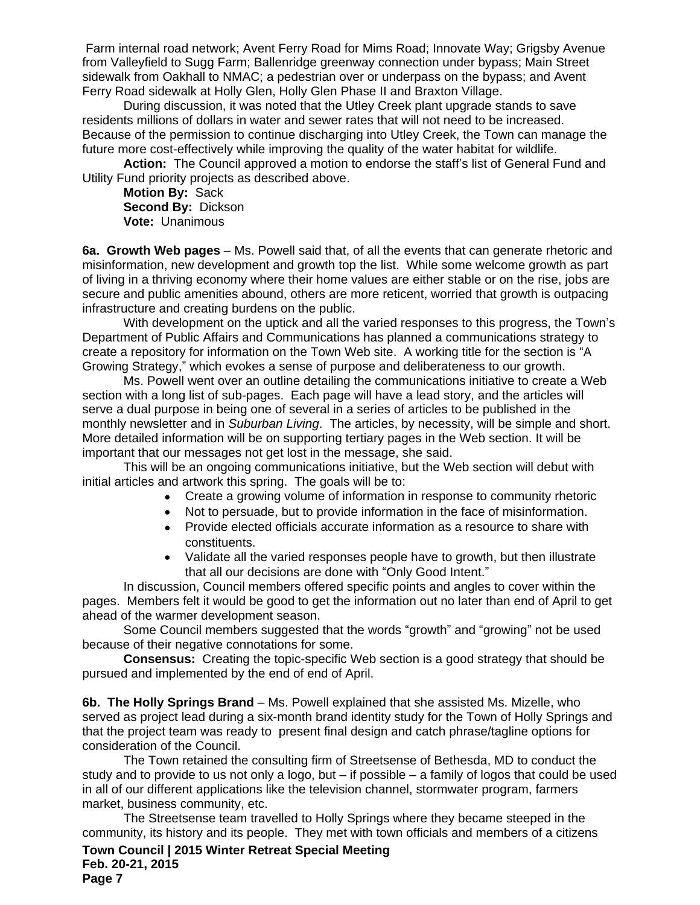Farm internal road network; Avent Ferry Road for Mims Road; Innovate Way; Grigsby Avenue from Valleyfield to Sugg Farm; Ballenridge greenway connection under bypass; Main Street sidewalk from Oakhall to NMAC; a pedestrian over or underpass on the bypass; and Avent Ferry Road sidewalk at Holly Glen, Holly Glen Phase II and Braxton Village.

During discussion, it was noted that the Utley Creek plant upgrade stands to save residents millions of dollars in water and sewer rates that will not need to be increased. Because of the permission to continue discharging into Utley Creek, the Town can manage the future more cost-effectively while improving the quality of the water habitat for wildlife.

**Action:** The Council approved a motion to endorse the staff's list of General Fund and Utility Fund priority projects as described above.

**Motion By:** Sack **Second By:** Dickson **Vote:** Unanimous

**6a. Growth Web pages** – Ms. Powell said that, of all the events that can generate rhetoric and misinformation, new development and growth top the list. While some welcome growth as part of living in a thriving economy where their home values are either stable or on the rise, jobs are secure and public amenities abound, others are more reticent, worried that growth is outpacing infrastructure and creating burdens on the public.

With development on the uptick and all the varied responses to this progress, the Town's Department of Public Affairs and Communications has planned a communications strategy to create a repository for information on the Town Web site. A working title for the section is "A Growing Strategy," which evokes a sense of purpose and deliberateness to our growth.

Ms. Powell went over an outline detailing the communications initiative to create a Web section with a long list of sub-pages. Each page will have a lead story, and the articles will serve a dual purpose in being one of several in a series of articles to be published in the monthly newsletter and in *Suburban Living*. The articles, by necessity, will be simple and short. More detailed information will be on supporting tertiary pages in the Web section. It will be important that our messages not get lost in the message, she said.

This will be an ongoing communications initiative, but the Web section will debut with initial articles and artwork this spring. The goals will be to:

- Create a growing volume of information in response to community rhetoric
- Not to persuade, but to provide information in the face of misinformation.
- Provide elected officials accurate information as a resource to share with constituents.
- Validate all the varied responses people have to growth, but then illustrate that all our decisions are done with "Only Good Intent."

In discussion, Council members offered specific points and angles to cover within the pages. Members felt it would be good to get the information out no later than end of April to get ahead of the warmer development season.

Some Council members suggested that the words "growth" and "growing" not be used because of their negative connotations for some.

**Consensus:** Creating the topic-specific Web section is a good strategy that should be pursued and implemented by the end of end of April.

**6b. The Holly Springs Brand** – Ms. Powell explained that she assisted Ms. Mizelle, who served as project lead during a six-month brand identity study for the Town of Holly Springs and that the project team was ready to present final design and catch phrase/tagline options for consideration of the Council.

The Town retained the consulting firm of Streetsense of Bethesda, MD to conduct the study and to provide to us not only a logo, but – if possible – a family of logos that could be used in all of our different applications like the television channel, stormwater program, farmers market, business community, etc.

The Streetsense team travelled to Holly Springs where they became steeped in the community, its history and its people. They met with town officials and members of a citizens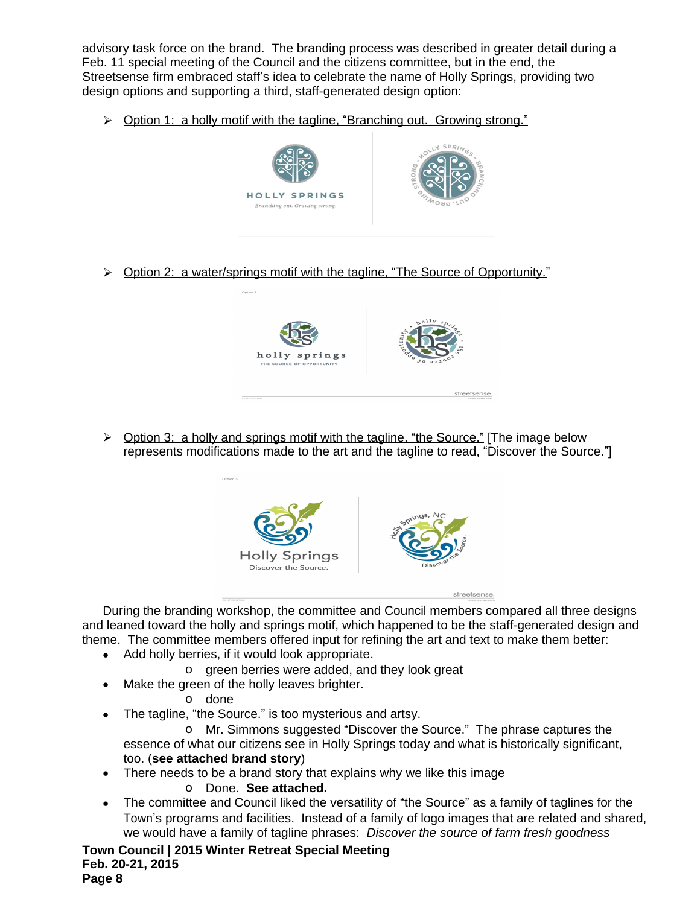advisory task force on the brand. The branding process was described in greater detail during a Feb. 11 special meeting of the Council and the citizens committee, but in the end, the Streetsense firm embraced staff's idea to celebrate the name of Holly Springs, providing two design options and supporting a third, staff-generated design option:

▶ Option 1: a holly motif with the tagline, "Branching out. Growing strong."



> Option 2: a water/springs motif with the tagline, "The Source of Opportunity."



 $\triangleright$  Option 3: a holly and springs motif with the tagline, "the Source." [The image below represents modifications made to the art and the tagline to read, "Discover the Source."]



During the branding workshop, the committee and Council members compared all three designs and leaned toward the holly and springs motif, which happened to be the staff-generated design and theme. The committee members offered input for refining the art and text to make them better:

- Add holly berries, if it would look appropriate.
	- o green berries were added, and they look great
- Make the green of the holly leaves brighter.

o done

The tagline, "the Source." is too mysterious and artsy.

o Mr. Simmons suggested "Discover the Source." The phrase captures the essence of what our citizens see in Holly Springs today and what is historically significant, too. (**see attached brand story**)

• There needs to be a brand story that explains why we like this image

# o Done. **See attached.**

 The committee and Council liked the versatility of "the Source" as a family of taglines for the Town's programs and facilities. Instead of a family of logo images that are related and shared, we would have a family of tagline phrases: *Discover the source of farm fresh goodness*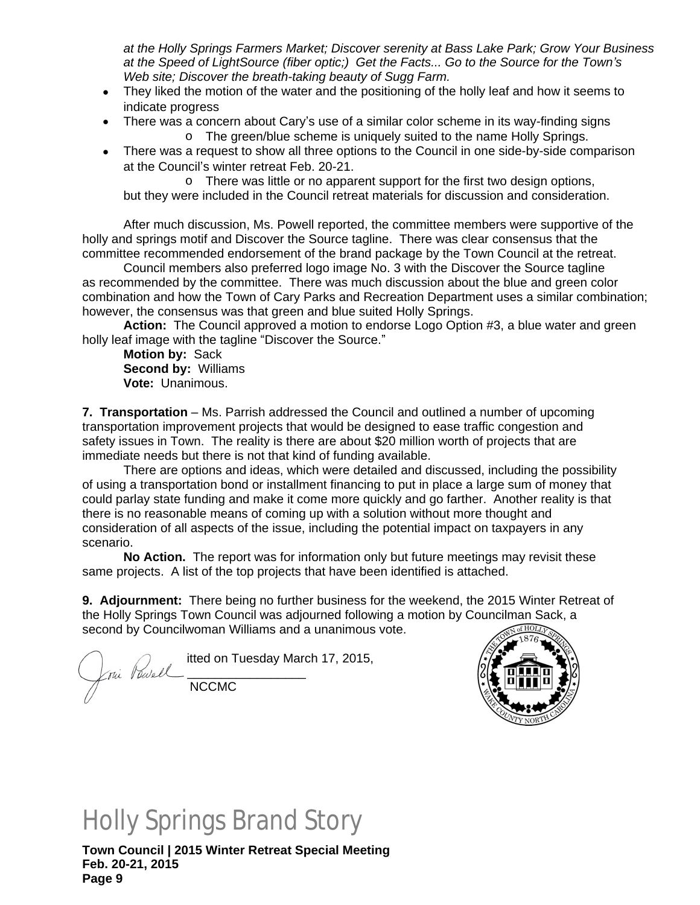*at the Holly Springs Farmers Market; Discover serenity at Bass Lake Park; Grow Your Business at the Speed of LightSource (fiber optic;) Get the Facts... Go to the Source for the Town's Web site; Discover the breath-taking beauty of Sugg Farm.*

- They liked the motion of the water and the positioning of the holly leaf and how it seems to indicate progress
- There was a concern about Cary's use of a similar color scheme in its way-finding signs
	- o The green/blue scheme is uniquely suited to the name Holly Springs.
- There was a request to show all three options to the Council in one side-by-side comparison at the Council's winter retreat Feb. 20-21.

o There was little or no apparent support for the first two design options, but they were included in the Council retreat materials for discussion and consideration.

After much discussion, Ms. Powell reported, the committee members were supportive of the holly and springs motif and Discover the Source tagline. There was clear consensus that the committee recommended endorsement of the brand package by the Town Council at the retreat.

Council members also preferred logo image No. 3 with the Discover the Source tagline as recommended by the committee. There was much discussion about the blue and green color combination and how the Town of Cary Parks and Recreation Department uses a similar combination; however, the consensus was that green and blue suited Holly Springs.

**Action:** The Council approved a motion to endorse Logo Option #3, a blue water and green holly leaf image with the tagline "Discover the Source."

**Motion by:** Sack **Second by:** Williams **Vote:** Unanimous.

**7. Transportation** – Ms. Parrish addressed the Council and outlined a number of upcoming transportation improvement projects that would be designed to ease traffic congestion and safety issues in Town. The reality is there are about \$20 million worth of projects that are immediate needs but there is not that kind of funding available.

There are options and ideas, which were detailed and discussed, including the possibility of using a transportation bond or installment financing to put in place a large sum of money that could parlay state funding and make it come more quickly and go farther. Another reality is that there is no reasonable means of coming up with a solution without more thought and consideration of all aspects of the issue, including the potential impact on taxpayers in any scenario.

**No Action.** The report was for information only but future meetings may revisit these same projects. A list of the top projects that have been identified is attached.

**9. Adjournment:** There being no further business for the weekend, the 2015 Winter Retreat of the Holly Springs Town Council was adjourned following a motion by Councilman Sack, a second by Councilwoman Williams and a unanimous vote.

 $\bigcap$   $\bigcap$  itted on Tuesday March 17, 2015,  $\chi_{\text{rui}}$  Vewell  $\mathbb{Z}$  NCCMC



# Holly Springs Brand Story

 $\overline{U}$